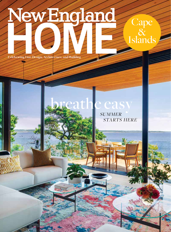NewEngland

**Celebrating Fine Design, Architecture, and Building**

Display until November 1, 2022

## SUMMER e easy

STARTS HERE

**Cape** 

 $\overline{\mathcal{X}}$ 

Islands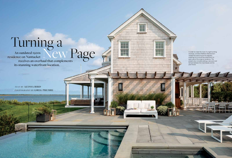**148 149**

## Turning a<br>An outdated 1920s<br>Sidence on Nantucket

residence on Nantucket **receives an overhaul that complements** its stunning waterfront location.

> *TEXT BY* **ALYSSA BIRD** *PHOTOGRAPHY BY* **GREG PREMRU**

In order to make the most of a tight building envelope, architect Matthew MacEachern rotated the entire house five degrees, enabling him to build two extensions on each side of the original residence. The project also included adding a new pool and terrace between the main house and the pool house.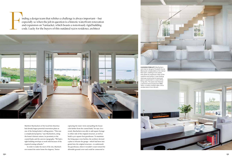

Matthew MacEachern of the local firm Emeritus had already begun potential renovation plans as one of the listing broker's selling points. "This was a complicated property," says MacEachern, siting the home's historic nature, its proximity to the coastal bank, and the uneven topography. "We had a tight building envelope to work with because of the required zoning setbacks."

In order to make the most of the site, MacEachern rotated the entire home five degrees, "better

Finding a design team that relishes a challenge is always important—but especially so when the job in question is a historic waterfront renovation and expansion on Nantucket, which boasts a notoriously rigid building code. especially so when the job in question is a historic waterfront renovation and expansion on Nantucket, which boasts a notoriously rigid building code. Lucky for the buyers of this outdated 1920s residence, architect



capturing the water views and pulling the house a bit farther from the coastal bank," he says. As a result, MacEachern was able to add square footage to either side of the original structure, as well as build a 400-square-foot guesthouse. To maximize the living space even further, the architect devised a plan to relocate the garage—which had been integrated into the original structure—to underneath the guesthouse, where it wouldn't count toward the allowable ground cover and could be connected to



Marcoulier collaborated on the interior floor plan, creating an airy space that allows for expansive views of the coastline and harbor. A new floating staircase constructed of wood and glass is positioned in a nook off the living area. The space also features a sectional and console from B&B Italia, a custom cocktail table, and a window bench from Minotti.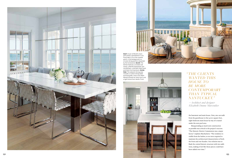

the basement and main house. Now, one can walk from the guesthouse to the 9,000-square-foot, eight-bedroom main house by way of a tunnel under the new pool area.

Masquerading as much new construction as possible was critical to the project's success. "The Historic District Commission was a major factor," explains MacEachern. "The residence is visible from the harbor, so we were required to maintain the architectural characteristics of both the front and rear facades. Our solution was to flank the central historic structure with two additions, making it feel like those pieces could have been added over time."

## *" THE CLIENTS WANTED THIS HOUSE TO BE MORE CONTEMPORARY THAN TYPICAL NANTUCKET."*

*—Architect and designer Elizabeth Dunne Marcoulier*

**RIGHT:** A pair of Minotti chairs



with pillows upholstered in Loro Piana fabric sit on the covered porch; in the background is a circular dining pavilion requested by the homeowner. **BELOW:** The kitchen features a smoked-oak island, a Neolith backsplash and countertops, a stainless-steel hood, and Holly Hunt barstools. **FACING PAGE:** The adjacent dining area includes a custom dining table and banquette, chairs from Mark Albrecht Studio for Holly Hunt, and a light fixture from Hector Finch.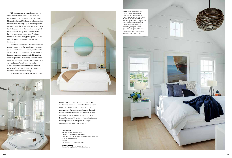Dunne Marcoulier landed on a clean palette of mostly white, warmed up by textural fabrics, stone, shiplap, and oak accents. A mix of custom and contemporary furnishings complements the mini malist interior architecture. "There's a bit of that California aesthetic, as well as European," says Dunne Marcoulier. "It relates to Nantucket, but you feel like you could be on a yacht in Europe." **EDITOR'S NOTE:** *For details, see Resources.*

With planning and structural approvals out of the way, attention turned to the interiors, led by architect and designer Elizabeth Dunne Marcoulier. She and MacEachern collaborated on the floor plan, opening it up as much as possible to capitalize on the views. "This house needed to be all about the water, the amazing sunsets, and indoor/outdoor living," says Dunne Marcou lier, who had worked on the family's primary residence in Boston many years ago while at Dell Mitchell Architects but never actually met the couple.

Thanks to a mutual friend who recommended Dunne Marcoulier to the couple, the three were given a second chance to connect, and they hit it off right away. "The clients wanted this house to be more contemporary than typical Nantucket, which surprised me because my first impression, based on their main residence, was that they were very traditional," says Dunne Marcoulier. "I soon realized this wasn't the case, and now we're actually redoing their primary residence to better reflect their fresh thinking."

To encourage an unfussy, relaxed atmosphere,





## **ARCHITECTURE:**

Matthew MacEachern, Emeritus **INTERIOR ARCHITECTURE AND DESIGN:** Elizabeth Dunne Marcoulier, Elizabeth Dunne Marcoulier Architecture & Interiors

**BUILDER:** E.J. Jaxtimer, E.J. Jaxtimer Builder **LANDSCAPE DESIGN:**

Bernice Wahler, Bernice Wahler Landscapes